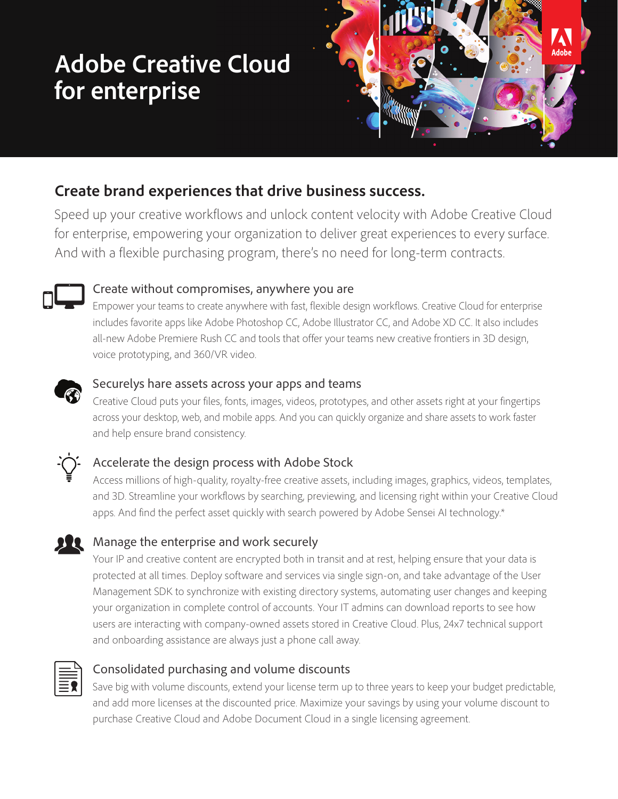# **Adobe Creative Cloud for enterprise**



## **Create brand experiences that drive business success.**

Speed up your creative workflows and unlock content velocity with Adobe Creative Cloud for enterprise, empowering your organization to deliver great experiences to every surface. And with a flexible purchasing program, there's no need for long-term contracts.



#### Create without compromises, anywhere you are

Empower your teams to create anywhere with fast, flexible design workflows. Creative Cloud for enterprise includes favorite apps like Adobe Photoshop CC, Adobe Illustrator CC, and Adobe XD CC. It also includes all-new Adobe Premiere Rush CC and tools that offer your teams new creative frontiers in 3D design, voice prototyping, and 360/VR video.



#### Securelys hare assets across your apps and teams

Creative Cloud puts your files, fonts, images, videos, prototypes, and other assets right at your fingertips across your desktop, web, and mobile apps. And you can quickly organize and share assets to work faster and help ensure brand consistency.



### Accelerate the design process with Adobe Stock

Access millions of high-quality, royalty-free creative assets, including images, graphics, videos, templates, and 3D. Streamline your workflows by searching, previewing, and licensing right within your Creative Cloud apps. And find the perfect asset quickly with search powered by Adobe Sensei AI technology.\*

### Manage the enterprise and work securely

Your IP and creative content are encrypted both in transit and at rest, helping ensure that your data is protected at all times. Deploy software and services via single sign-on, and take advantage of the User Management SDK to synchronize with existing directory systems, automating user changes and keeping your organization in complete control of accounts. Your IT admins can download reports to see how users are interacting with company-owned assets stored in Creative Cloud. Plus, 24x7 technical support and onboarding assistance are always just a phone call away.



#### Consolidated purchasing and volume discounts

Save big with volume discounts, extend your license term up to three years to keep your budget predictable, and add more licenses at the discounted price. Maximize your savings by using your volume discount to purchase Creative Cloud and Adobe Document Cloud in a single licensing agreement.